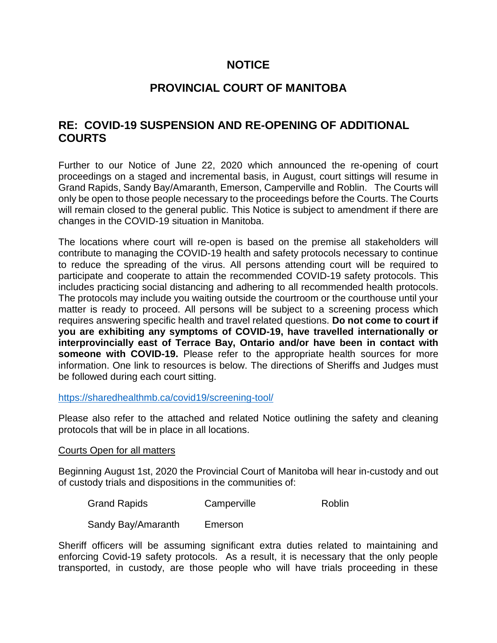### **NOTICE**

# **PROVINCIAL COURT OF MANITOBA**

# **RE: COVID-19 SUSPENSION AND RE-OPENING OF ADDITIONAL COURTS**

Further to our Notice of June 22, 2020 which announced the re-opening of court proceedings on a staged and incremental basis, in August, court sittings will resume in Grand Rapids, Sandy Bay/Amaranth, Emerson, Camperville and Roblin. The Courts will only be open to those people necessary to the proceedings before the Courts. The Courts will remain closed to the general public. This Notice is subject to amendment if there are changes in the COVID-19 situation in Manitoba.

The locations where court will re-open is based on the premise all stakeholders will contribute to managing the COVID-19 health and safety protocols necessary to continue to reduce the spreading of the virus. All persons attending court will be required to participate and cooperate to attain the recommended COVID-19 safety protocols. This includes practicing social distancing and adhering to all recommended health protocols. The protocols may include you waiting outside the courtroom or the courthouse until your matter is ready to proceed. All persons will be subject to a screening process which requires answering specific health and travel related questions. **Do not come to court if you are exhibiting any symptoms of COVID-19, have travelled internationally or interprovincially east of Terrace Bay, Ontario and/or have been in contact with someone with COVID-19.** Please refer to the appropriate health sources for more information. One link to resources is below. The directions of Sheriffs and Judges must be followed during each court sitting.

### <https://sharedhealthmb.ca/covid19/screening-tool/>

Please also refer to the attached and related Notice outlining the safety and cleaning protocols that will be in place in all locations.

#### Courts Open for all matters

Beginning August 1st, 2020 the Provincial Court of Manitoba will hear in-custody and out of custody trials and dispositions in the communities of:

| <b>Grand Rapids</b> | Camperville | Roblin |
|---------------------|-------------|--------|
| Sandy Bay/Amaranth  | Emerson     |        |

Sheriff officers will be assuming significant extra duties related to maintaining and enforcing Covid-19 safety protocols. As a result, it is necessary that the only people transported, in custody, are those people who will have trials proceeding in these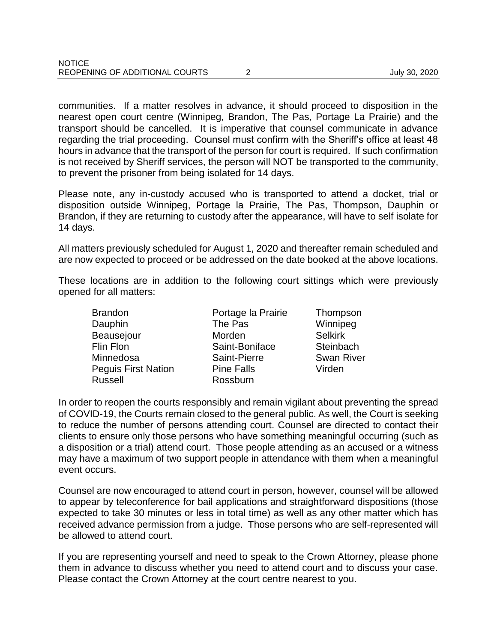communities. If a matter resolves in advance, it should proceed to disposition in the nearest open court centre (Winnipeg, Brandon, The Pas, Portage La Prairie) and the transport should be cancelled. It is imperative that counsel communicate in advance regarding the trial proceeding. Counsel must confirm with the Sheriff's office at least 48 hours in advance that the transport of the person for court is required. If such confirmation is not received by Sheriff services, the person will NOT be transported to the community, to prevent the prisoner from being isolated for 14 days.

Please note, any in-custody accused who is transported to attend a docket, trial or disposition outside Winnipeg, Portage la Prairie, The Pas, Thompson, Dauphin or Brandon, if they are returning to custody after the appearance, will have to self isolate for 14 days.

All matters previously scheduled for August 1, 2020 and thereafter remain scheduled and are now expected to proceed or be addressed on the date booked at the above locations.

These locations are in addition to the following court sittings which were previously opened for all matters:

| Brandon                    | Portage la Prairie |  |
|----------------------------|--------------------|--|
| Dauphin                    | The Pas            |  |
| <b>Beausejour</b>          | Morden             |  |
| Flin Flon                  | Saint-Boniface     |  |
| Minnedosa                  | Saint-Pierre       |  |
| <b>Peguis First Nation</b> | <b>Pine Falls</b>  |  |
| <b>Russell</b>             | Rossburn           |  |

Thompson Winnipeg Selkirk Steinbach Swan River Virden

In order to reopen the courts responsibly and remain vigilant about preventing the spread of COVID-19, the Courts remain closed to the general public. As well, the Court is seeking to reduce the number of persons attending court. Counsel are directed to contact their clients to ensure only those persons who have something meaningful occurring (such as a disposition or a trial) attend court. Those people attending as an accused or a witness may have a maximum of two support people in attendance with them when a meaningful event occurs.

Counsel are now encouraged to attend court in person, however, counsel will be allowed to appear by teleconference for bail applications and straightforward dispositions (those expected to take 30 minutes or less in total time) as well as any other matter which has received advance permission from a judge. Those persons who are self-represented will be allowed to attend court.

If you are representing yourself and need to speak to the Crown Attorney, please phone them in advance to discuss whether you need to attend court and to discuss your case. Please contact the Crown Attorney at the court centre nearest to you.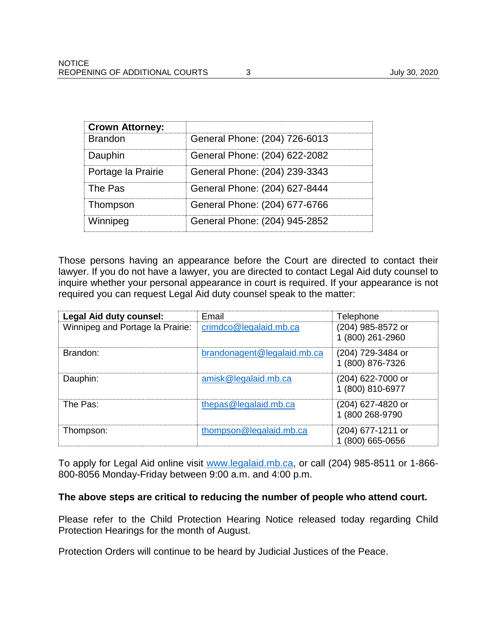| <b>Crown Attorney:</b> |                               |
|------------------------|-------------------------------|
| <b>Brandon</b>         | General Phone: (204) 726-6013 |
| Dauphin                | General Phone: (204) 622-2082 |
| Portage la Prairie     | General Phone: (204) 239-3343 |
| The Pas                | General Phone: (204) 627-8444 |
| Thompson               | General Phone: (204) 677-6766 |
| Winnipeg               | General Phone: (204) 945-2852 |

Those persons having an appearance before the Court are directed to contact their lawyer. If you do not have a lawyer, you are directed to contact Legal Aid duty counsel to inquire whether your personal appearance in court is required. If your appearance is not required you can request Legal Aid duty counsel speak to the matter:

| <b>Legal Aid duty counsel:</b>   | Email                       | Telephone                             |
|----------------------------------|-----------------------------|---------------------------------------|
| Winnipeg and Portage la Prairie: | crimdco@legalaid.mb.ca      | (204) 985-8572 or<br>1 (800) 261-2960 |
| Brandon:                         | brandonagent@legalaid.mb.ca | (204) 729-3484 or<br>1 (800) 876-7326 |
| Dauphin:                         | amisk@legalaid.mb.ca        | (204) 622-7000 or<br>1 (800) 810-6977 |
| The Pas:                         | thepas@legalaid.mb.ca       | (204) 627-4820 or<br>1 (800 268-9790  |
| Thompson:                        | thompson@legalaid.mb.ca     | (204) 677-1211 or<br>(800) 665-0656   |

To apply for Legal Aid online visit [www.legalaid.mb.ca,](http://www.legalaid.mb.ca/) or call (204) 985-8511 or 1-866- 800-8056 Monday-Friday between 9:00 a.m. and 4:00 p.m.

#### **The above steps are critical to reducing the number of people who attend court.**

Please refer to the Child Protection Hearing Notice released today regarding Child Protection Hearings for the month of August.

Protection Orders will continue to be heard by Judicial Justices of the Peace.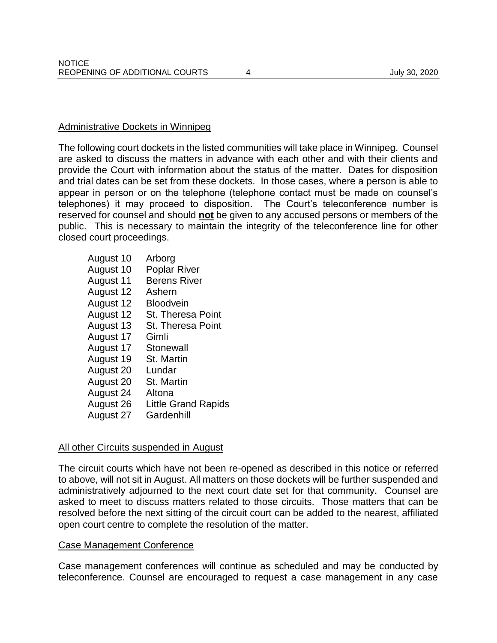#### Administrative Dockets in Winnipeg

The following court dockets in the listed communities will take place in Winnipeg. Counsel are asked to discuss the matters in advance with each other and with their clients and provide the Court with information about the status of the matter. Dates for disposition and trial dates can be set from these dockets. In those cases, where a person is able to appear in person or on the telephone (telephone contact must be made on counsel's telephones) it may proceed to disposition. The Court's teleconference number is reserved for counsel and should **not** be given to any accused persons or members of the public. This is necessary to maintain the integrity of the teleconference line for other closed court proceedings.

August 10 Arborg August 10 Poplar River August 11 Berens River August 12 Ashern August 12 Bloodvein August 12 St. Theresa Point August 13 St. Theresa Point August 17 Gimli August 17 Stonewall August 19 St. Martin August 20 Lundar August 20 St. Martin August 24 Altona August 26 Little Grand Rapids August 27 Gardenhill

#### All other Circuits suspended in August

The circuit courts which have not been re-opened as described in this notice or referred to above, will not sit in August. All matters on those dockets will be further suspended and administratively adjourned to the next court date set for that community. Counsel are asked to meet to discuss matters related to those circuits. Those matters that can be resolved before the next sitting of the circuit court can be added to the nearest, affiliated open court centre to complete the resolution of the matter.

#### Case Management Conference

Case management conferences will continue as scheduled and may be conducted by teleconference. Counsel are encouraged to request a case management in any case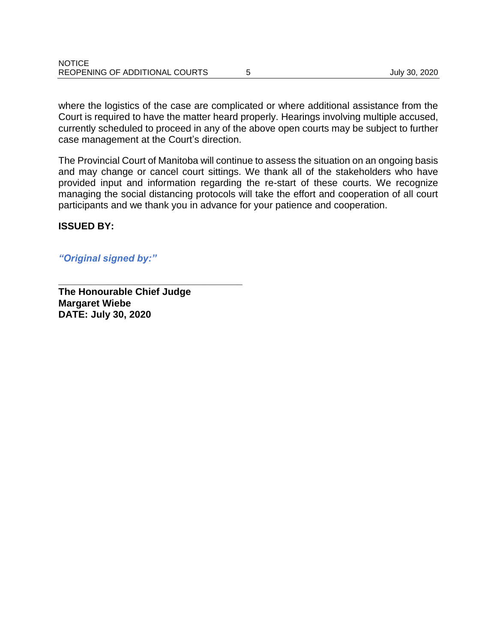where the logistics of the case are complicated or where additional assistance from the Court is required to have the matter heard properly. Hearings involving multiple accused, currently scheduled to proceed in any of the above open courts may be subject to further case management at the Court's direction.

The Provincial Court of Manitoba will continue to assess the situation on an ongoing basis and may change or cancel court sittings. We thank all of the stakeholders who have provided input and information regarding the re-start of these courts. We recognize managing the social distancing protocols will take the effort and cooperation of all court participants and we thank you in advance for your patience and cooperation.

**ISSUED BY:**

*"Original signed by:"*

**The Honourable Chief Judge Margaret Wiebe DATE: July 30, 2020**

**\_\_\_\_\_\_\_\_\_\_\_\_\_\_\_\_\_\_\_\_\_\_\_\_\_\_\_\_\_\_\_\_\_\_**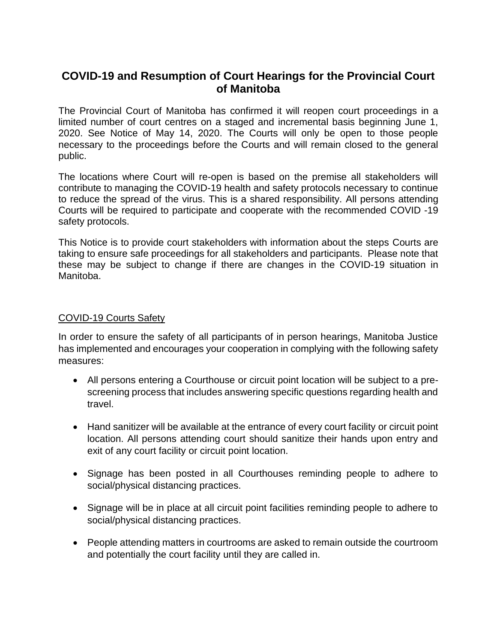# **COVID-19 and Resumption of Court Hearings for the Provincial Court of Manitoba**

The Provincial Court of Manitoba has confirmed it will reopen court proceedings in a limited number of court centres on a staged and incremental basis beginning June 1, 2020. See Notice of May 14, 2020. The Courts will only be open to those people necessary to the proceedings before the Courts and will remain closed to the general public.

The locations where Court will re-open is based on the premise all stakeholders will contribute to managing the COVID-19 health and safety protocols necessary to continue to reduce the spread of the virus. This is a shared responsibility. All persons attending Courts will be required to participate and cooperate with the recommended COVID -19 safety protocols.

This Notice is to provide court stakeholders with information about the steps Courts are taking to ensure safe proceedings for all stakeholders and participants. Please note that these may be subject to change if there are changes in the COVID-19 situation in Manitoba.

### COVID-19 Courts Safety

In order to ensure the safety of all participants of in person hearings, Manitoba Justice has implemented and encourages your cooperation in complying with the following safety measures:

- All persons entering a Courthouse or circuit point location will be subject to a prescreening process that includes answering specific questions regarding health and travel.
- Hand sanitizer will be available at the entrance of every court facility or circuit point location. All persons attending court should sanitize their hands upon entry and exit of any court facility or circuit point location.
- Signage has been posted in all Courthouses reminding people to adhere to social/physical distancing practices.
- Signage will be in place at all circuit point facilities reminding people to adhere to social/physical distancing practices.
- People attending matters in courtrooms are asked to remain outside the courtroom and potentially the court facility until they are called in.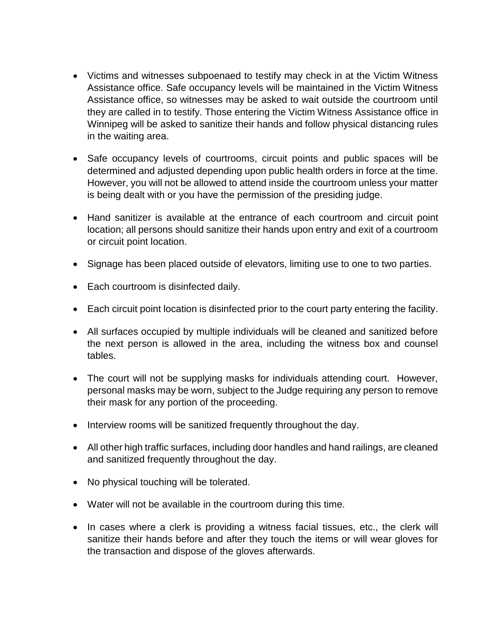- Victims and witnesses subpoenaed to testify may check in at the Victim Witness Assistance office. Safe occupancy levels will be maintained in the Victim Witness Assistance office, so witnesses may be asked to wait outside the courtroom until they are called in to testify. Those entering the Victim Witness Assistance office in Winnipeg will be asked to sanitize their hands and follow physical distancing rules in the waiting area.
- Safe occupancy levels of courtrooms, circuit points and public spaces will be determined and adjusted depending upon public health orders in force at the time. However, you will not be allowed to attend inside the courtroom unless your matter is being dealt with or you have the permission of the presiding judge.
- Hand sanitizer is available at the entrance of each courtroom and circuit point location; all persons should sanitize their hands upon entry and exit of a courtroom or circuit point location.
- Signage has been placed outside of elevators, limiting use to one to two parties.
- Each courtroom is disinfected daily.
- Each circuit point location is disinfected prior to the court party entering the facility.
- All surfaces occupied by multiple individuals will be cleaned and sanitized before the next person is allowed in the area, including the witness box and counsel tables.
- The court will not be supplying masks for individuals attending court. However, personal masks may be worn, subject to the Judge requiring any person to remove their mask for any portion of the proceeding.
- Interview rooms will be sanitized frequently throughout the day.
- All other high traffic surfaces, including door handles and hand railings, are cleaned and sanitized frequently throughout the day.
- No physical touching will be tolerated.
- Water will not be available in the courtroom during this time.
- In cases where a clerk is providing a witness facial tissues, etc., the clerk will sanitize their hands before and after they touch the items or will wear gloves for the transaction and dispose of the gloves afterwards.